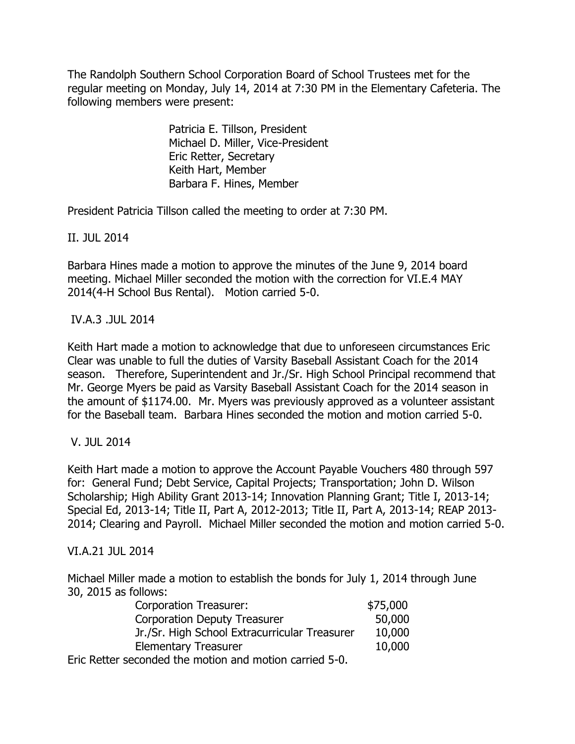The Randolph Southern School Corporation Board of School Trustees met for the regular meeting on Monday, July 14, 2014 at 7:30 PM in the Elementary Cafeteria. The following members were present:

> Patricia E. Tillson, President Michael D. Miller, Vice-President Eric Retter, Secretary Keith Hart, Member Barbara F. Hines, Member

President Patricia Tillson called the meeting to order at 7:30 PM.

II. JUL 2014

Barbara Hines made a motion to approve the minutes of the June 9, 2014 board meeting. Michael Miller seconded the motion with the correction for VI.E.4 MAY 2014(4-H School Bus Rental). Motion carried 5-0.

# IV.A.3 .JUL 2014

Keith Hart made a motion to acknowledge that due to unforeseen circumstances Eric Clear was unable to full the duties of Varsity Baseball Assistant Coach for the 2014 season. Therefore, Superintendent and Jr./Sr. High School Principal recommend that Mr. George Myers be paid as Varsity Baseball Assistant Coach for the 2014 season in the amount of \$1174.00. Mr. Myers was previously approved as a volunteer assistant for the Baseball team. Barbara Hines seconded the motion and motion carried 5-0.

### V. JUL 2014

Keith Hart made a motion to approve the Account Payable Vouchers 480 through 597 for: General Fund; Debt Service, Capital Projects; Transportation; John D. Wilson Scholarship; High Ability Grant 2013-14; Innovation Planning Grant; Title I, 2013-14; Special Ed, 2013-14; Title II, Part A, 2012-2013; Title II, Part A, 2013-14; REAP 2013- 2014; Clearing and Payroll. Michael Miller seconded the motion and motion carried 5-0.

### VI.A.21 JUL 2014

Michael Miller made a motion to establish the bonds for July 1, 2014 through June 30, 2015 as follows:

| <b>Corporation Treasurer:</b>                           | \$75,000 |
|---------------------------------------------------------|----------|
| <b>Corporation Deputy Treasurer</b>                     | 50,000   |
| Jr./Sr. High School Extracurricular Treasurer           | 10,000   |
| <b>Elementary Treasurer</b>                             | 10,000   |
| Eric Retter seconded the motion and motion carried 5-0. |          |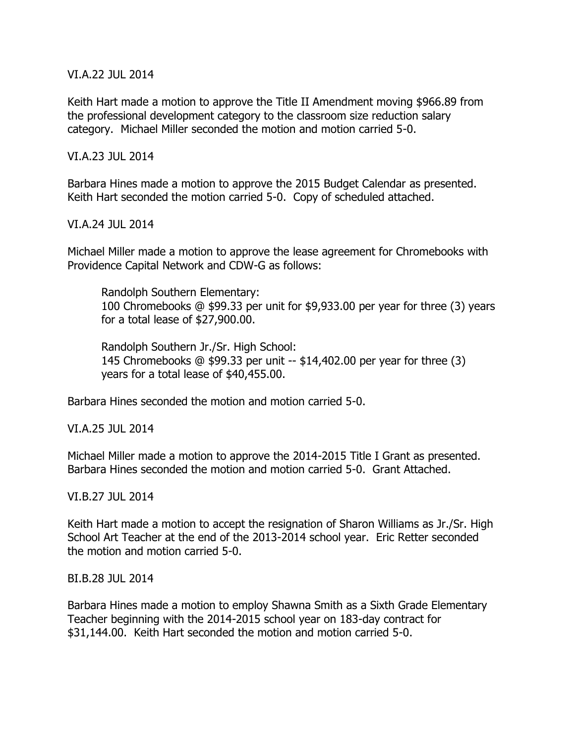VI.A.22 JUL 2014

Keith Hart made a motion to approve the Title II Amendment moving \$966.89 from the professional development category to the classroom size reduction salary category. Michael Miller seconded the motion and motion carried 5-0.

### VI.A.23 JUL 2014

Barbara Hines made a motion to approve the 2015 Budget Calendar as presented. Keith Hart seconded the motion carried 5-0. Copy of scheduled attached.

### VI.A.24 JUL 2014

Michael Miller made a motion to approve the lease agreement for Chromebooks with Providence Capital Network and CDW-G as follows:

Randolph Southern Elementary: 100 Chromebooks @ \$99.33 per unit for \$9,933.00 per year for three (3) years for a total lease of \$27,900.00.

Randolph Southern Jr./Sr. High School: 145 Chromebooks @ \$99.33 per unit -- \$14,402.00 per year for three (3) years for a total lease of \$40,455.00.

Barbara Hines seconded the motion and motion carried 5-0.

VI.A.25 JUL 2014

Michael Miller made a motion to approve the 2014-2015 Title I Grant as presented. Barbara Hines seconded the motion and motion carried 5-0. Grant Attached.

### VI.B.27 JUL 2014

Keith Hart made a motion to accept the resignation of Sharon Williams as Jr./Sr. High School Art Teacher at the end of the 2013-2014 school year. Eric Retter seconded the motion and motion carried 5-0.

### BI.B.28 JUL 2014

Barbara Hines made a motion to employ Shawna Smith as a Sixth Grade Elementary Teacher beginning with the 2014-2015 school year on 183-day contract for \$31,144.00. Keith Hart seconded the motion and motion carried 5-0.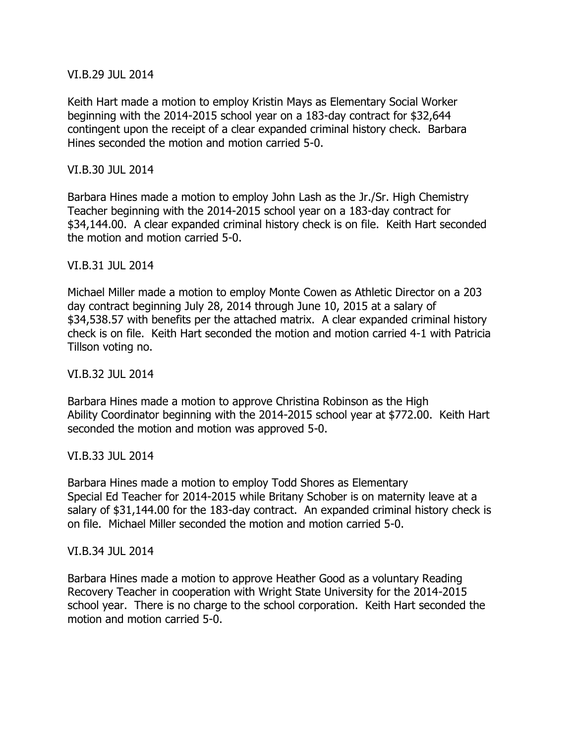### VI.B.29 JUL 2014

Keith Hart made a motion to employ Kristin Mays as Elementary Social Worker beginning with the 2014-2015 school year on a 183-day contract for \$32,644 contingent upon the receipt of a clear expanded criminal history check. Barbara Hines seconded the motion and motion carried 5-0.

### VI.B.30 JUL 2014

Barbara Hines made a motion to employ John Lash as the Jr./Sr. High Chemistry Teacher beginning with the 2014-2015 school year on a 183-day contract for \$34,144.00. A clear expanded criminal history check is on file. Keith Hart seconded the motion and motion carried 5-0.

# VI.B.31 JUL 2014

Michael Miller made a motion to employ Monte Cowen as Athletic Director on a 203 day contract beginning July 28, 2014 through June 10, 2015 at a salary of \$34,538.57 with benefits per the attached matrix. A clear expanded criminal history check is on file. Keith Hart seconded the motion and motion carried 4-1 with Patricia Tillson voting no.

### VI.B.32 JUL 2014

Barbara Hines made a motion to approve Christina Robinson as the High Ability Coordinator beginning with the 2014-2015 school year at \$772.00. Keith Hart seconded the motion and motion was approved 5-0.

### VI.B.33 JUL 2014

Barbara Hines made a motion to employ Todd Shores as Elementary Special Ed Teacher for 2014-2015 while Britany Schober is on maternity leave at a salary of \$31,144.00 for the 183-day contract. An expanded criminal history check is on file. Michael Miller seconded the motion and motion carried 5-0.

### VI.B.34 JUL 2014

Barbara Hines made a motion to approve Heather Good as a voluntary Reading Recovery Teacher in cooperation with Wright State University for the 2014-2015 school year. There is no charge to the school corporation. Keith Hart seconded the motion and motion carried 5-0.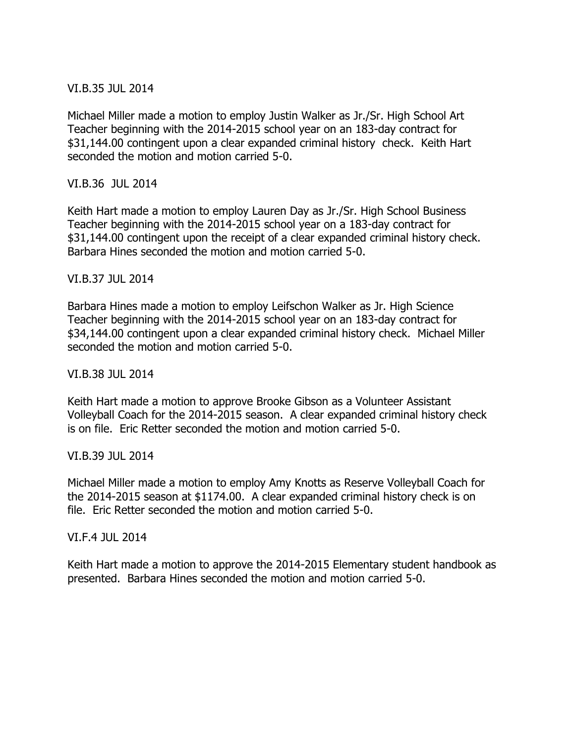### VI.B.35 JUL 2014

Michael Miller made a motion to employ Justin Walker as Jr./Sr. High School Art Teacher beginning with the 2014-2015 school year on an 183-day contract for \$31,144.00 contingent upon a clear expanded criminal history check. Keith Hart seconded the motion and motion carried 5-0.

VI.B.36 JUL 2014

Keith Hart made a motion to employ Lauren Day as Jr./Sr. High School Business Teacher beginning with the 2014-2015 school year on a 183-day contract for \$31,144.00 contingent upon the receipt of a clear expanded criminal history check. Barbara Hines seconded the motion and motion carried 5-0.

# VI.B.37 JUL 2014

Barbara Hines made a motion to employ Leifschon Walker as Jr. High Science Teacher beginning with the 2014-2015 school year on an 183-day contract for \$34,144.00 contingent upon a clear expanded criminal history check. Michael Miller seconded the motion and motion carried 5-0.

### VI.B.38 JUL 2014

Keith Hart made a motion to approve Brooke Gibson as a Volunteer Assistant Volleyball Coach for the 2014-2015 season. A clear expanded criminal history check is on file. Eric Retter seconded the motion and motion carried 5-0.

### VI.B.39 JUL 2014

Michael Miller made a motion to employ Amy Knotts as Reserve Volleyball Coach for the 2014-2015 season at \$1174.00. A clear expanded criminal history check is on file. Eric Retter seconded the motion and motion carried 5-0.

### VI.F.4 JUL 2014

Keith Hart made a motion to approve the 2014-2015 Elementary student handbook as presented. Barbara Hines seconded the motion and motion carried 5-0.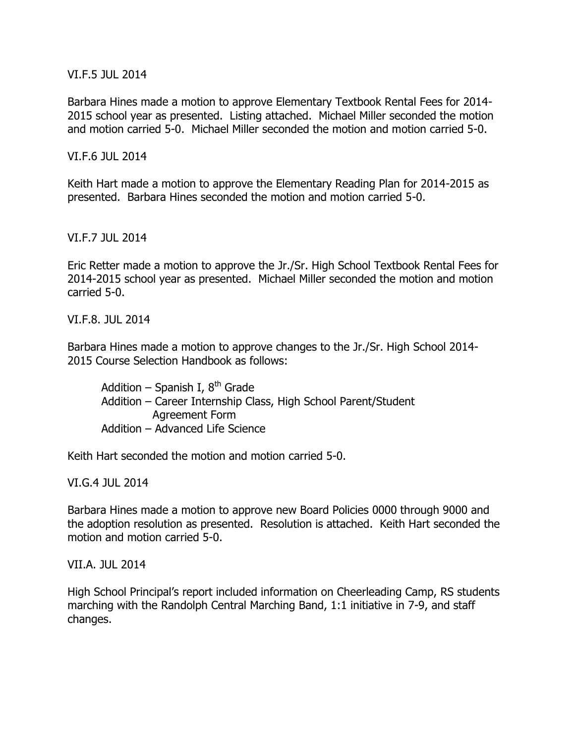VI.F.5 JUL 2014

Barbara Hines made a motion to approve Elementary Textbook Rental Fees for 2014- 2015 school year as presented. Listing attached. Michael Miller seconded the motion and motion carried 5-0. Michael Miller seconded the motion and motion carried 5-0.

VI.F.6 JUL 2014

Keith Hart made a motion to approve the Elementary Reading Plan for 2014-2015 as presented. Barbara Hines seconded the motion and motion carried 5-0.

VI.F.7 JUL 2014

Eric Retter made a motion to approve the Jr./Sr. High School Textbook Rental Fees for 2014-2015 school year as presented. Michael Miller seconded the motion and motion carried 5-0.

VI.F.8. JUL 2014

Barbara Hines made a motion to approve changes to the Jr./Sr. High School 2014- 2015 Course Selection Handbook as follows:

Addition – Spanish I,  $8<sup>th</sup>$  Grade Addition – Career Internship Class, High School Parent/Student Agreement Form Addition – Advanced Life Science

Keith Hart seconded the motion and motion carried 5-0.

VI.G.4 JUL 2014

Barbara Hines made a motion to approve new Board Policies 0000 through 9000 and the adoption resolution as presented. Resolution is attached. Keith Hart seconded the motion and motion carried 5-0.

VII.A. JUL 2014

High School Principal's report included information on Cheerleading Camp, RS students marching with the Randolph Central Marching Band, 1:1 initiative in 7-9, and staff changes.